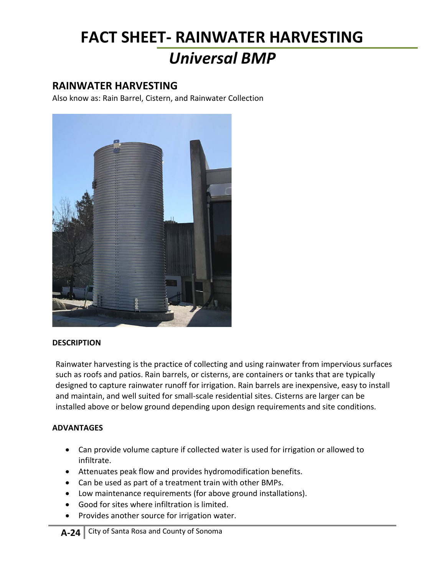## **FACT SHEET- RAINWATER HARVESTING** *Universal BMP*

### **RAINWATER HARVESTING**

Also know as: Rain Barrel, Cistern, and Rainwater Collection



#### **DESCRIPTION**

Rainwater harvesting is the practice of collecting and using rainwater from impervious surfaces such as roofs and patios. Rain barrels, or cisterns, are containers or tanks that are typically designed to capture rainwater runoff for irrigation. Rain barrels are inexpensive, easy to install and maintain, and well suited for small-scale residential sites. Cisterns are larger can be installed above or below ground depending upon design requirements and site conditions.

#### **ADVANTAGES**

- Can provide volume capture if collected water is used for irrigation or allowed to infiltrate.
- Attenuates peak flow and provides hydromodification benefits.
- Can be used as part of a treatment train with other BMPs.
- Low maintenance requirements (for above ground installations).
- Good for sites where infiltration is limited.
- Provides another source for irrigation water.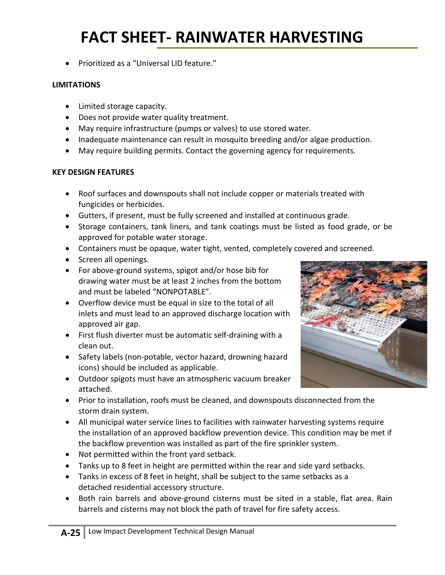# **FACT SHEET- RAINWATER HARVESTING**

• Prioritized as a "Universal LID feature."

#### **LIMITATIONS**

- Limited storage capacity.
- Does not provide water quality treatment.
- May require infrastructure (pumps or valves) to use stored water.
- Inadequate maintenance can result in mosquito breeding and/or algae production.
- May require building permits. Contact the governing agency for requirements.

#### **KEY DESIGN FEATURES**

- Roof surfaces and downspouts shall not include copper or materials treated with fungicides or herbicides.
- Gutters, if present, must be fully screened and installed at continuous grade.
- Storage containers, tank liners, and tank coatings must be listed as food grade, or be approved for potable water storage.
- Containers must be opaque, water tight, vented, completely covered and screened.
- Screen all openings.
- For above-ground systems, spigot and/or hose bib for drawing water must be at least 2 inches from the bottom and must be labeled "NONPOTABLE".
- Overflow device must be equal in size to the total of all inlets and must lead to an approved discharge location with approved air gap.
- First flush diverter must be automatic self-draining with a clean out.
- Safety labels (non-potable, vector hazard, drowning hazard icons) should be included as applicable.
- Outdoor spigots must have an atmospheric vacuum breaker attached.
- Prior to installation, roofs must be cleaned, and downspouts disconnected from the storm drain system.
- All municipal water service lines to facilities with rainwater harvesting systems require the installation of an approved backflow prevention device. This condition may be met if the backflow prevention was installed as part of the fire sprinkler system.
- Not permitted within the front yard setback.
- Tanks up to 8 feet in height are permitted within the rear and side yard setbacks.
- Tanks in excess of 8 feet in height, shall be subject to the same setbacks as a detached residential accessory structure.
- Both rain barrels and above-ground cisterns must be sited in a stable, flat area. Rain barrels and cisterns may not block the path of travel for fire safety access.

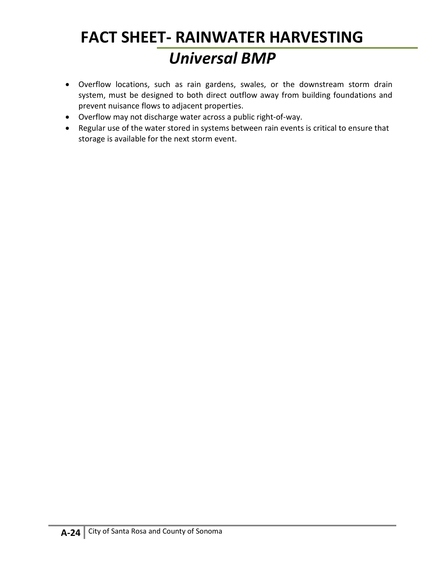# **FACT SHEET- RAINWATER HARVESTING** *Universal BMP*

- Overflow locations, such as rain gardens, swales, or the downstream storm drain system, must be designed to both direct outflow away from building foundations and prevent nuisance flows to adjacent properties.
- Overflow may not discharge water across a public right-of-way.
- Regular use of the water stored in systems between rain events is critical to ensure that storage is available for the next storm event.